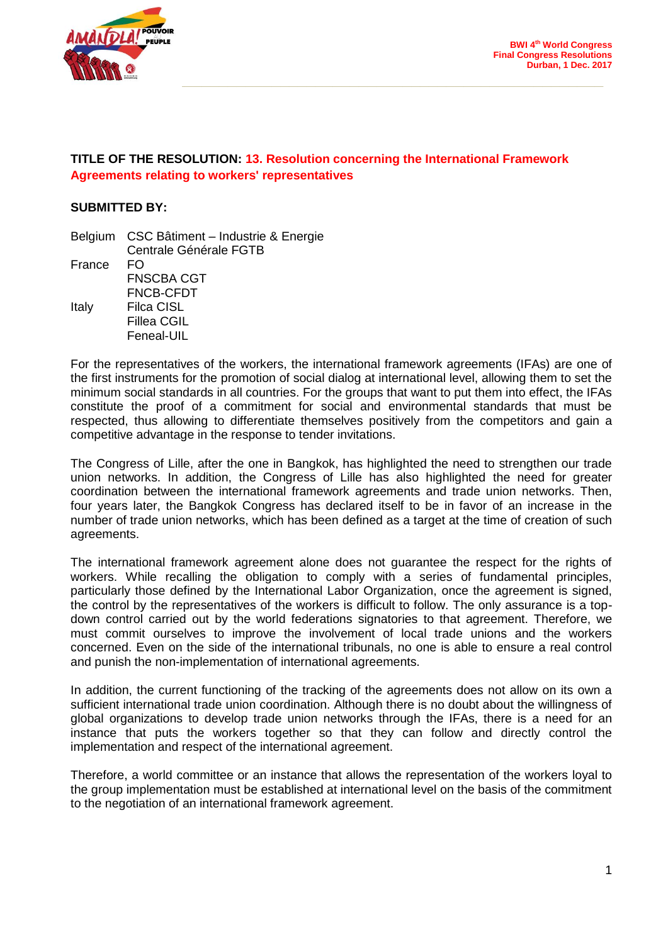

# **TITLE OF THE RESOLUTION: 13. Resolution concerning the International Framework Agreements relating to workers' representatives**

## **SUBMITTED BY:**

|        | Belgium CSC Bâtiment - Industrie & Energie |
|--------|--------------------------------------------|
|        | Centrale Générale FGTB                     |
| France | FO.                                        |
|        | <b>FNSCBA CGT</b>                          |
|        | FNCB-CFDT                                  |
| Italy  | <b>Filca CISL</b>                          |
|        | Fillea CGIL                                |
|        | Feneal-UIL                                 |

For the representatives of the workers, the international framework agreements (IFAs) are one of the first instruments for the promotion of social dialog at international level, allowing them to set the minimum social standards in all countries. For the groups that want to put them into effect, the IFAs constitute the proof of a commitment for social and environmental standards that must be respected, thus allowing to differentiate themselves positively from the competitors and gain a competitive advantage in the response to tender invitations.

The Congress of Lille, after the one in Bangkok, has highlighted the need to strengthen our trade union networks. In addition, the Congress of Lille has also highlighted the need for greater coordination between the international framework agreements and trade union networks. Then, four years later, the Bangkok Congress has declared itself to be in favor of an increase in the number of trade union networks, which has been defined as a target at the time of creation of such agreements.

The international framework agreement alone does not guarantee the respect for the rights of workers. While recalling the obligation to comply with a series of fundamental principles, particularly those defined by the International Labor Organization, once the agreement is signed, the control by the representatives of the workers is difficult to follow. The only assurance is a topdown control carried out by the world federations signatories to that agreement. Therefore, we must commit ourselves to improve the involvement of local trade unions and the workers concerned. Even on the side of the international tribunals, no one is able to ensure a real control and punish the non-implementation of international agreements.

In addition, the current functioning of the tracking of the agreements does not allow on its own a sufficient international trade union coordination. Although there is no doubt about the willingness of global organizations to develop trade union networks through the IFAs, there is a need for an instance that puts the workers together so that they can follow and directly control the implementation and respect of the international agreement.

Therefore, a world committee or an instance that allows the representation of the workers loyal to the group implementation must be established at international level on the basis of the commitment to the negotiation of an international framework agreement.